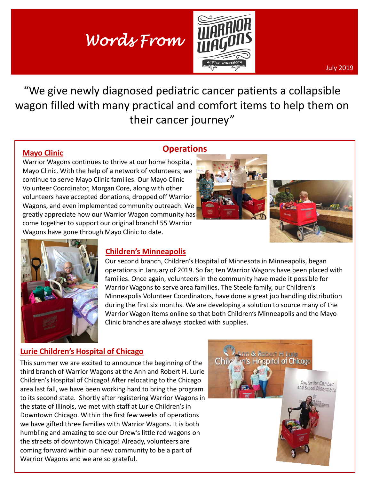# *Words From*



July 2019

"We give newly diagnosed pediatric cancer patients a collapsible wagon filled with many practical and comfort items to help them on their cancer journey"

#### **Mayo Clinic**

#### **Operations**

Warrior Wagons continues to thrive at our home hospital, Mayo Clinic. With the help of a network of volunteers, we continue to serve Mayo Clinic families. Our Mayo Clinic Volunteer Coordinator, Morgan Core, along with other volunteers have accepted donations, dropped off Warrior Wagons, and even implemented community outreach. We greatly appreciate how our Warrior Wagon community has come together to support our original branch! 55 Warrior Wagons have gone through Mayo Clinic to date.





**spital of Chicago** 

enter for Cance



#### **Children's Minneapolis**

Our second branch, Children's Hospital of Minnesota in Minneapolis, began operations in January of 2019. So far, ten Warrior Wagons have been placed with families. Once again, volunteers in the community have made it possible for Warrior Wagons to serve area families. The Steele family, our Children's Minneapolis Volunteer Coordinators, have done a great job handling distribution during the first six months. We are developing a solution to source many of the Warrior Wagon items online so that both Children's Minneapolis and the Mayo Clinic branches are always stocked with supplies.

### **Lurie Children's Hospital of Chicago**

This summer we are excited to announce the beginning of the third branch of Warrior Wagons at the Ann and Robert H. Lurie Children's Hospital of Chicago! After relocating to the Chicago area last fall, we have been working hard to bring the program to its second state. Shortly after registering Warrior Wagons in the state of Illinois, we met with staff at Lurie Children's in Downtown Chicago. Within the first few weeks of operations we have gifted three families with Warrior Wagons. It is both humbling and amazing to see our Drew's little red wagons on the streets of downtown Chicago! Already, volunteers are coming forward within our new community to be a part of Warrior Wagons and we are so grateful.